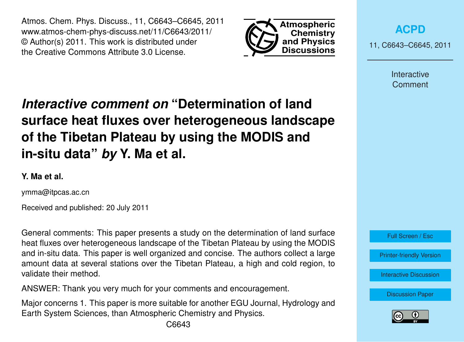Atmos. Chem. Phys. Discuss., 11, C6643–C6645, 2011 www.atmos-chem-phys-discuss.net/11/C6643/2011/ © Author(s) 2011. This work is distributed under the Creative Commons Attribute 3.0 License.



**[ACPD](http://www.atmos-chem-phys-discuss.net)**

11, C6643–C6645, 2011

Interactive **Comment** 

## *Interactive comment on* **"Determination of land surface heat fluxes over heterogeneous landscape of the Tibetan Plateau by using the MODIS and in-situ data"** *by* **Y. Ma et al.**

## **Y. Ma et al.**

ymma@itpcas.ac.cn

Received and published: 20 July 2011

General comments: This paper presents a study on the determination of land surface heat fluxes over heterogeneous landscape of the Tibetan Plateau by using the MODIS and in-situ data. This paper is well organized and concise. The authors collect a large amount data at several stations over the Tibetan Plateau, a high and cold region, to validate their method.

ANSWER: Thank you very much for your comments and encouragement.

Major concerns 1. This paper is more suitable for another EGU Journal, Hydrology and Earth System Sciences, than Atmospheric Chemistry and Physics.



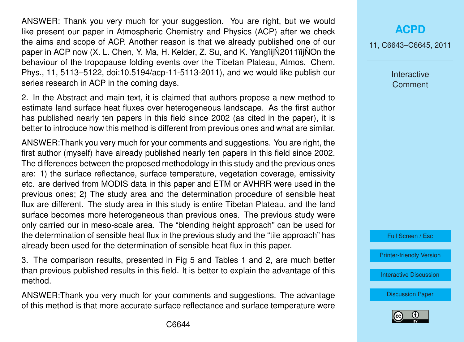ANSWER: Thank you very much for your suggestion. You are right, but we would like present our paper in Atmospheric Chemistry and Physics (ACP) after we check the aims and scope of ACP. Another reason is that we already published one of our paper in ACP now  $(X, L, Chen, Y, Ma, H, Kelder, Z, Su, and K, Yangii<sub>i</sub>N2011ii<sub>i</sub>NOn the$ behaviour of the tropopause folding events over the Tibetan Plateau, Atmos. Chem. Phys., 11, 5113–5122, doi:10.5194/acp-11-5113-2011), and we would like publish our series research in ACP in the coming days.

2. In the Abstract and main text, it is claimed that authors propose a new method to estimate land surface heat fluxes over heterogeneous landscape. As the first author has published nearly ten papers in this field since 2002 (as cited in the paper), it is better to introduce how this method is different from previous ones and what are similar.

ANSWER:Thank you very much for your comments and suggestions. You are right, the first author (myself) have already published nearly ten papers in this field since 2002. The differences between the proposed methodology in this study and the previous ones are: 1) the surface reflectance, surface temperature, vegetation coverage, emissivity etc. are derived from MODIS data in this paper and ETM or AVHRR were used in the previous ones; 2) The study area and the determination procedure of sensible heat flux are different. The study area in this study is entire Tibetan Plateau, and the land surface becomes more heterogeneous than previous ones. The previous study were only carried our in meso-scale area. The "blending height approach" can be used for the determination of sensible heat flux in the previous study and the "tile approach" has already been used for the determination of sensible heat flux in this paper.

3. The comparison results, presented in Fig 5 and Tables 1 and 2, are much better than previous published results in this field. It is better to explain the advantage of this method.

ANSWER:Thank you very much for your comments and suggestions. The advantage of this method is that more accurate surface reflectance and surface temperature were

## **[ACPD](http://www.atmos-chem-phys-discuss.net)**

11, C6643–C6645, 2011

Interactive **Comment** 



[Printer-friendly Version](http://www.atmos-chem-phys-discuss.net/11/C6643/2011/acpd-11-C6643-2011-print.pdf)

[Interactive Discussion](http://www.atmos-chem-phys-discuss.net/11/19617/2011/acpd-11-19617-2011-discussion.html)

[Discussion Paper](http://www.atmos-chem-phys-discuss.net/11/19617/2011/acpd-11-19617-2011.pdf)

![](_page_1_Picture_12.jpeg)